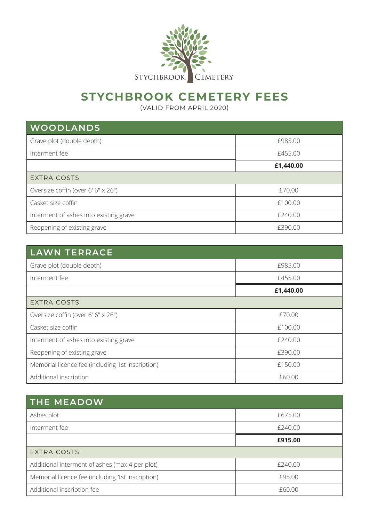

## **STYCHBROOK CEMETERY FEES**

(VALID FROM APRIL 2020)

| WOODLANDS                              |           |
|----------------------------------------|-----------|
| Grave plot (double depth)              | £985.00   |
| Interment fee                          | £455.00   |
|                                        | £1,440.00 |
| <b>EXTRA COSTS</b>                     |           |
| Oversize coffin (over 6' 6" x 26")     | £70.00    |
| Casket size coffin                     | £100.00   |
| Interment of ashes into existing grave | £240.00   |
| Reopening of existing grave            | £390.00   |

| <b>LAWN TERRACE</b>                              |           |
|--------------------------------------------------|-----------|
| Grave plot (double depth)                        | £985.00   |
| Interment fee                                    | £455.00   |
|                                                  | £1,440.00 |
| <b>EXTRA COSTS</b>                               |           |
| Oversize coffin (over 6' 6" x 26")               | £70.00    |
| Casket size coffin                               | £100.00   |
| Interment of ashes into existing grave           | £240.00   |
| Reopening of existing grave                      | £390.00   |
| Memorial licence fee (including 1st inscription) | £150.00   |
| Additional inscription                           | £60.00    |

| <b>THE MEADOW</b>                                |         |
|--------------------------------------------------|---------|
| Ashes plot                                       | £675.00 |
| Interment fee                                    | £240.00 |
|                                                  | £915.00 |
| <b>EXTRA COSTS</b>                               |         |
| Additional interment of ashes (max 4 per plot)   | £240.00 |
| Memorial licence fee (including 1st inscription) | £95.00  |
| Additional inscription fee                       | £60.00  |